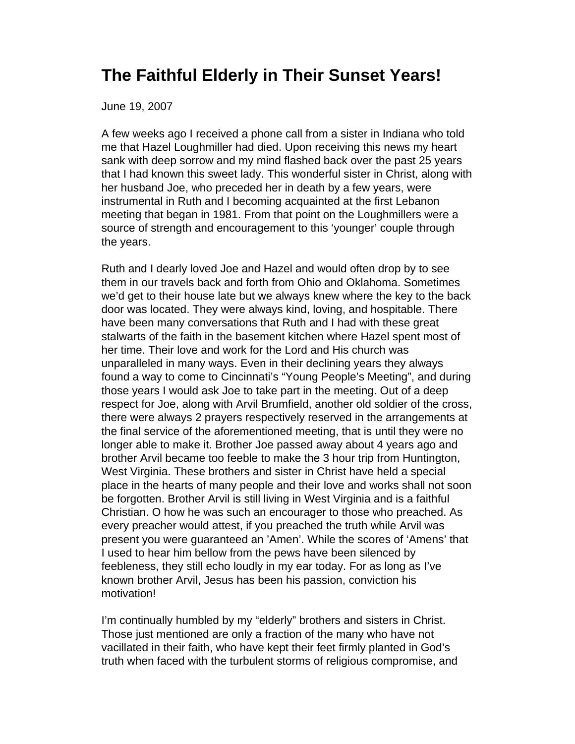## **The Faithful Elderly in Their Sunset Years!**

June 19, 2007

A few weeks ago I received a phone call from a sister in Indiana who told me that Hazel Loughmiller had died. Upon receiving this news my heart sank with deep sorrow and my mind flashed back over the past 25 years that I had known this sweet lady. This wonderful sister in Christ, along with her husband Joe, who preceded her in death by a few years, were instrumental in Ruth and I becoming acquainted at the first Lebanon meeting that began in 1981. From that point on the Loughmillers were a source of strength and encouragement to this 'younger' couple through the years.

Ruth and I dearly loved Joe and Hazel and would often drop by to see them in our travels back and forth from Ohio and Oklahoma. Sometimes we'd get to their house late but we always knew where the key to the back door was located. They were always kind, loving, and hospitable. There have been many conversations that Ruth and I had with these great stalwarts of the faith in the basement kitchen where Hazel spent most of her time. Their love and work for the Lord and His church was unparalleled in many ways. Even in their declining years they always found a way to come to Cincinnati's "Young People's Meeting", and during those years I would ask Joe to take part in the meeting. Out of a deep respect for Joe, along with Arvil Brumfield, another old soldier of the cross, there were always 2 prayers respectively reserved in the arrangements at the final service of the aforementioned meeting, that is until they were no longer able to make it. Brother Joe passed away about 4 years ago and brother Arvil became too feeble to make the 3 hour trip from Huntington, West Virginia. These brothers and sister in Christ have held a special place in the hearts of many people and their love and works shall not soon be forgotten. Brother Arvil is still living in West Virginia and is a faithful Christian. O how he was such an encourager to those who preached. As every preacher would attest, if you preached the truth while Arvil was present you were guaranteed an 'Amen'. While the scores of 'Amens' that I used to hear him bellow from the pews have been silenced by feebleness, they still echo loudly in my ear today. For as long as I've known brother Arvil, Jesus has been his passion, conviction his motivation!

I'm continually humbled by my "elderly" brothers and sisters in Christ. Those just mentioned are only a fraction of the many who have not vacillated in their faith, who have kept their feet firmly planted in God's truth when faced with the turbulent storms of religious compromise, and